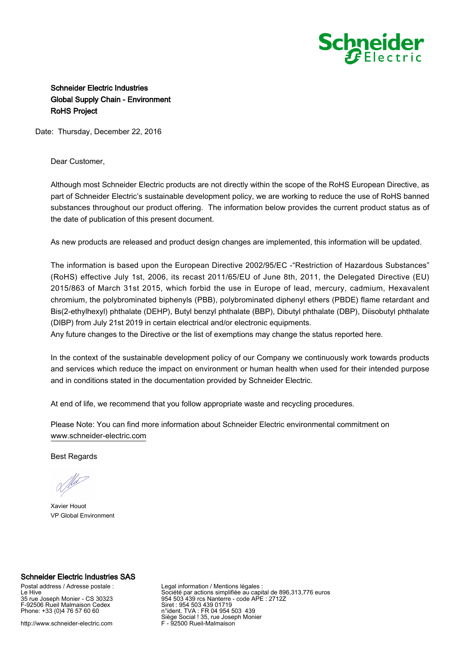

## Schneider Electric Industries Global Supply Chain - Environment RoHS Project

Date: Thursday, December 22, 2016

Dear Customer,

Although most Schneider Electric products are not directly within the scope of the RoHS European Directive, as part of Schneider Electric's sustainable development policy, we are working to reduce the use of RoHS banned substances throughout our product offering. The information below provides the current product status as of the date of publication of this present document.

As new products are released and product design changes are implemented, this information will be updated.

The information is based upon the European Directive 2002/95/EC -"Restriction of Hazardous Substances" (RoHS) effective July 1st, 2006, its recast 2011/65/EU of June 8th, 2011, the Delegated Directive (EU) 2015/863 of March 31st 2015, which forbid the use in Europe of lead, mercury, cadmium, Hexavalent chromium, the polybrominated biphenyls (PBB), polybrominated diphenyl ethers (PBDE) flame retardant and Bis(2-ethylhexyl) phthalate (DEHP), Butyl benzyl phthalate (BBP), Dibutyl phthalate (DBP), Diisobutyl phthalate (DIBP) from July 21st 2019 in certain electrical and/or electronic equipments.

Any future changes to the Directive or the list of exemptions may change the status reported here.

In the context of the sustainable development policy of our Company we continuously work towards products and services which reduce the impact on environment or human health when used for their intended purpose and in conditions stated in the documentation provided by Schneider Electric.

At end of life, we recommend that you follow appropriate waste and recycling procedures.

Please Note: You can find more information about Schneider Electric environmental commitment on [www.schneider-electric.com](https://www.schneider-electric.com)

Best Regards

Xavier Houot VP Global Environment

## Schneider Electric Industries SAS

Postal address / Adresse postale : Le Hive 35 rue Joseph Monier - CS 30323 F-92506 Rueil Malmaison Cedex Phone: +33 (0)4 76 57 60 60

http://www.schneider-electric.com

Legal information / Mentions légales : Société par actions simplifiée au capital de 896,313,776 euros 954 503 439 rcs Nanterre - code APE : 2712Z Siret : 954 503 439 01719 n°ident. TVA : FR 04 954 503 439 Siège Social ! 35, rue Joseph Monier F - 92500 Rueil-Malmaison